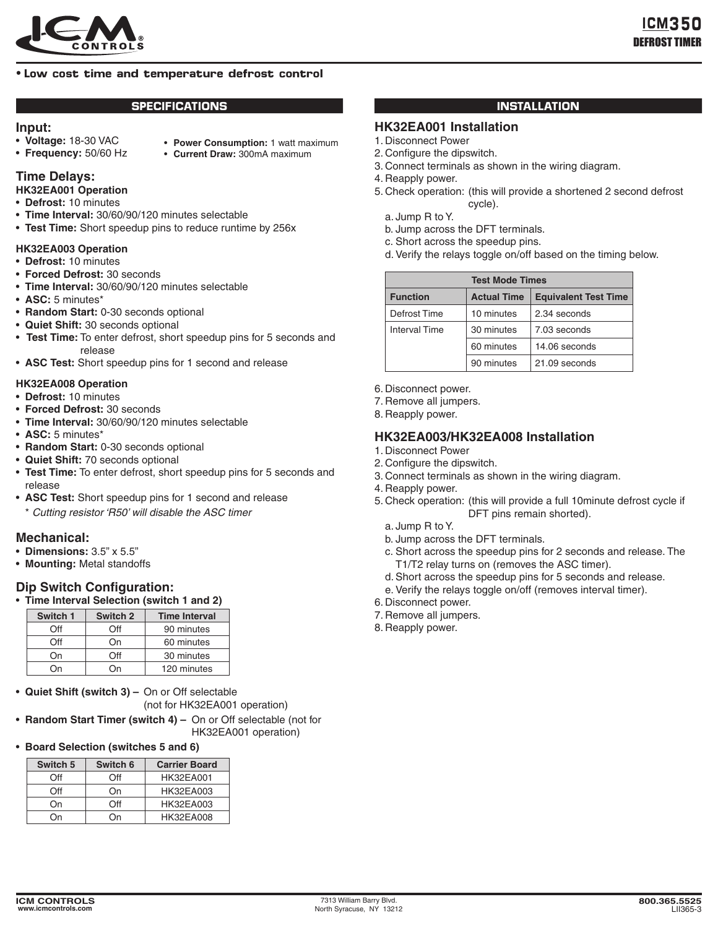

## **• Low cost time and temperature defrost control**

### **SPECIFICATIONS INSTALLATION**

#### **Input:**

- • **Voltage:** 18-30 VAC
- • **Frequency:** 50/60 Hz
- • **Power Consumption:** 1 watt maximum
- 
- • **Current Draw:** 300mA maximum

# **Time Delays:**

- **HK32EA001 Operation**
- • **Defrost:** 10 minutes
- • **Time Interval:** 30/60/90/120 minutes selectable
- Test Time: Short speedup pins to reduce runtime by 256x

## **HK32EA003 Operation**

- • **Defrost:** 10 minutes
- • **Forced Defrost:** 30 seconds
- • **Time Interval:** 30/60/90/120 minutes selectable
- • **ASC:** 5 minutes\*
- • **Random Start:** 0-30 seconds optional
- • **Quiet Shift:** 30 seconds optional
- **Test Time:** To enter defrost, short speedup pins for 5 seconds and release
- **ASC Test:** Short speedup pins for 1 second and release

### **HK32EA008 Operation**

- • **Defrost:** 10 minutes
- • **Forced Defrost:** 30 seconds
- • **Time Interval:** 30/60/90/120 minutes selectable
- • **ASC:** 5 minutes\*
- • **Random Start:** 0-30 seconds optional
- • **Quiet Shift:** 70 seconds optional
- Test Time: To enter defrost, short speedup pins for 5 seconds and release
- **ASC Test:** Short speedup pins for 1 second and release
	- \* *Cutting resistor 'R50' will disable the ASC timer*

## **Mechanical:**

- • **Dimensions:** 3.5" x 5.5"
- • **Mounting:** Metal standoffs

# **Dip Switch Configuration:**

• **Time Interval Selection (switch 1 and 2)**

| Switch 1 | Switch 2 | <b>Time Interval</b> |
|----------|----------|----------------------|
| ∩ff      | ')ft∶    | 90 minutes           |
| ∩ff      | On       | 60 minutes           |
| Οn       | าff      | 30 minutes           |
| NС       | NС       | 120 minutes          |

- • **Quiet Shift (switch 3) –** On or Off selectable (not for HK32EA001 operation)
- Random Start Timer (switch 4) On or Off selectable (not for HK32EA001 operation)

## • **Board Selection (switches 5 and 6)**

| Switch 5 | Switch 6 | <b>Carrier Board</b> |
|----------|----------|----------------------|
| ∩ff      | ∩ff      | <b>HK32EA001</b>     |
| ∩ff      | Ωn       | <b>HK32EA003</b>     |
| Ωn       | ∩ff      | <b>HK32EA003</b>     |
| าn       | ำn       | <b>HK32EA008</b>     |

## **HK32EA001 Installation**

- 1. Disconnect Power
- 2. Configure the dipswitch.
- 3. Connect terminals as shown in the wiring diagram.
- 4. Reapply power.
- 5. Check operation: (this will provide a shortened 2 second defrost cycle).
	- a. Jump R to Y.
	- b. Jump across the DFT terminals.
	- c. Short across the speedup pins.
	- d. Verify the relays toggle on/off based on the timing below.

| <b>Test Mode Times</b> |                    |                             |  |
|------------------------|--------------------|-----------------------------|--|
| <b>Function</b>        | <b>Actual Time</b> | <b>Equivalent Test Time</b> |  |
| Defrost Time           | 10 minutes         | 2.34 seconds                |  |
| <b>Interval Time</b>   | 30 minutes         | 7.03 seconds                |  |
|                        | 60 minutes         | 14.06 seconds               |  |
|                        | 90 minutes         | 21.09 seconds               |  |

- 6. Disconnect power.
- 7. Remove all jumpers.
- 8. Reapply power.

## **HK32EA003/HK32EA008 Installation**

- 1. Disconnect Power
- 2. Configure the dipswitch.
- 3. Connect terminals as shown in the wiring diagram.
- 4. Reapply power.
- 5. Check operation: (this will provide a full 10minute defrost cycle if DFT pins remain shorted).
	- a. Jump R to Y.
	- b. Jump across the DFT terminals.
	- c. Short across the speedup pins for 2 seconds and release. The T1/T2 relay turns on (removes the ASC timer).
	- d. Short across the speedup pins for 5 seconds and release.
	- e. Verify the relays toggle on/off (removes interval timer).
- 6. Disconnect power.
- 7. Remove all jumpers.
- 8. Reapply power.